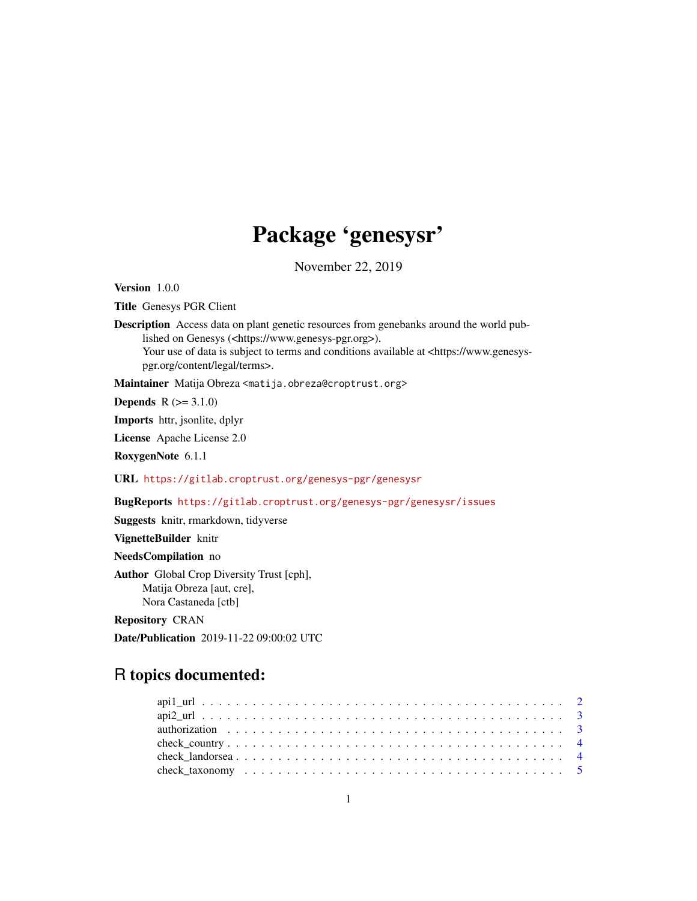## Package 'genesysr'

November 22, 2019

Version 1.0.0

Title Genesys PGR Client

Description Access data on plant genetic resources from genebanks around the world published on Genesys (<https://www.genesys-pgr.org>). Your use of data is subject to terms and conditions available at <https://www.genesyspgr.org/content/legal/terms>.

Maintainer Matija Obreza <matija.obreza@croptrust.org>

**Depends**  $R (= 3.1.0)$ 

Imports httr, jsonlite, dplyr

License Apache License 2.0

RoxygenNote 6.1.1

URL <https://gitlab.croptrust.org/genesys-pgr/genesysr>

BugReports <https://gitlab.croptrust.org/genesys-pgr/genesysr/issues>

Suggests knitr, rmarkdown, tidyverse

VignetteBuilder knitr

NeedsCompilation no

Author Global Crop Diversity Trust [cph], Matija Obreza [aut, cre], Nora Castaneda [ctb]

Repository CRAN

Date/Publication 2019-11-22 09:00:02 UTC

### R topics documented:

| $api2\_url$ |  |
|-------------|--|
|             |  |
|             |  |
|             |  |
|             |  |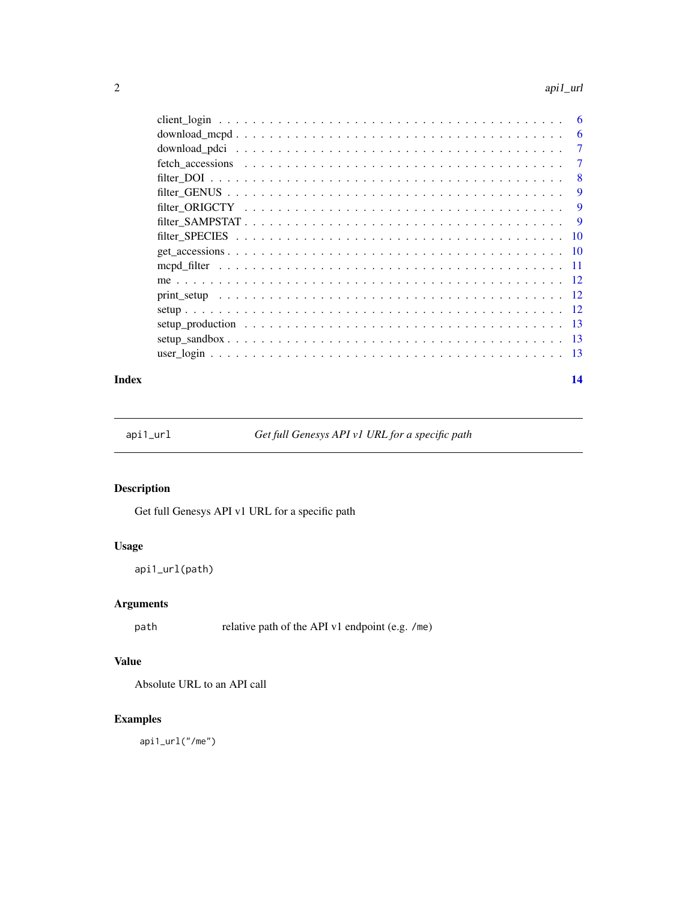#### <span id="page-1-0"></span>2 api1\_url

|  | -6  |
|--|-----|
|  | 6   |
|  | 7   |
|  | 7   |
|  | 8   |
|  | 9   |
|  | 9   |
|  | 9   |
|  | -10 |
|  |     |
|  |     |
|  |     |
|  |     |
|  |     |
|  |     |
|  |     |
|  |     |
|  |     |

#### **Index** 2008 **[14](#page-13-0)**

api1\_url *Get full Genesys API v1 URL for a specific path*

#### Description

Get full Genesys API v1 URL for a specific path

#### Usage

api1\_url(path)

#### Arguments

path relative path of the API v1 endpoint (e.g. /me)

#### Value

Absolute URL to an API call

#### Examples

api1\_url("/me")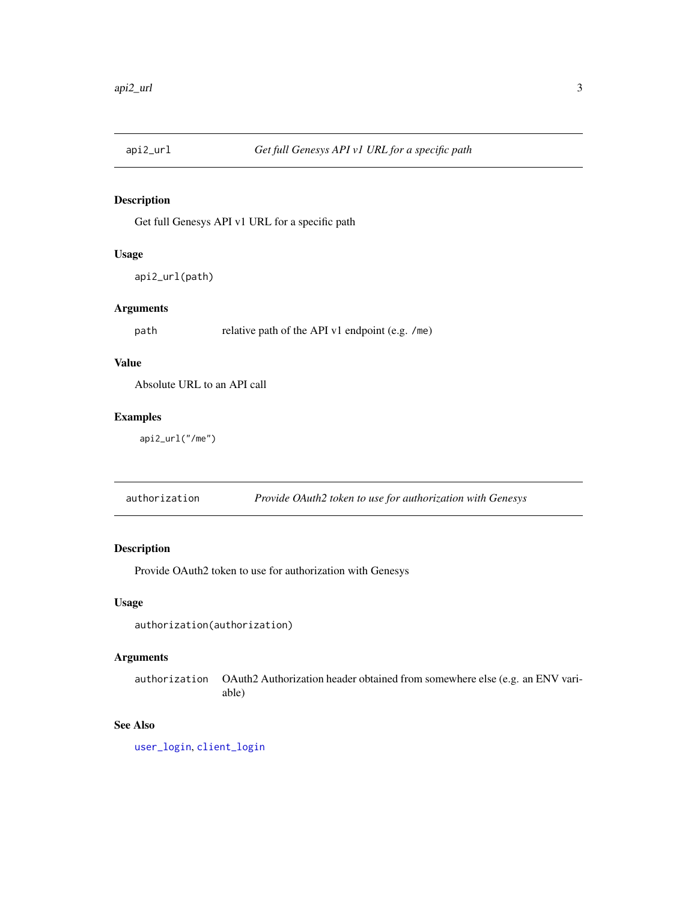<span id="page-2-0"></span>

Get full Genesys API v1 URL for a specific path

#### Usage

api2\_url(path)

#### Arguments

path relative path of the API v1 endpoint (e.g. /me)

#### Value

Absolute URL to an API call

#### Examples

api2\_url("/me")

authorization *Provide OAuth2 token to use for authorization with Genesys*

#### Description

Provide OAuth2 token to use for authorization with Genesys

#### Usage

```
authorization(authorization)
```
#### Arguments

authorization OAuth2 Authorization header obtained from somewhere else (e.g. an ENV variable)

#### See Also

[user\\_login](#page-12-1), [client\\_login](#page-5-1)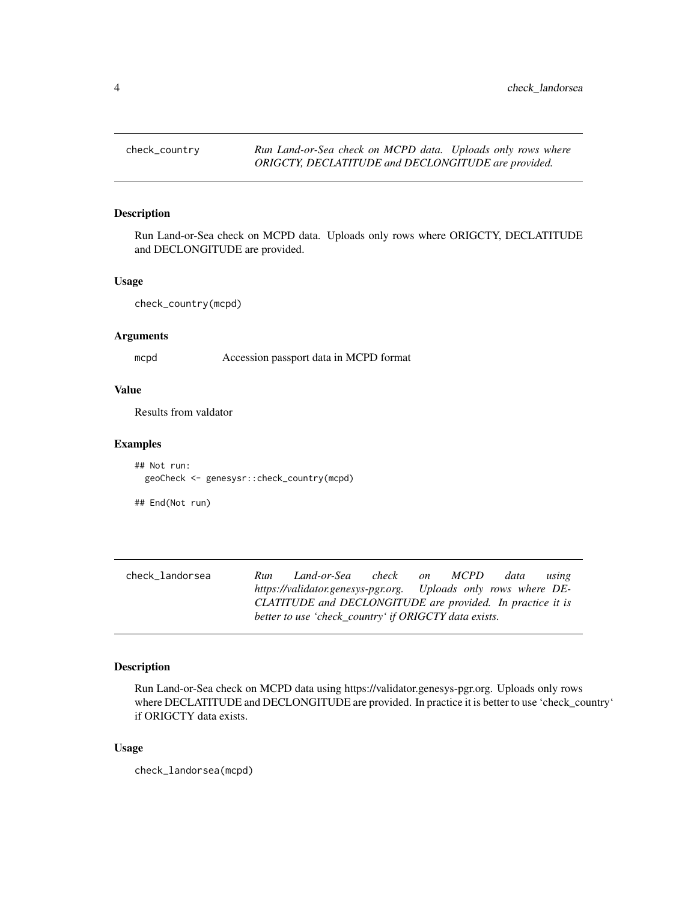<span id="page-3-0"></span>

Run Land-or-Sea check on MCPD data. Uploads only rows where ORIGCTY, DECLATITUDE and DECLONGITUDE are provided.

#### Usage

check\_country(mcpd)

#### Arguments

mcpd Accession passport data in MCPD format

#### Value

Results from valdator

#### Examples

```
## Not run:
 geoCheck <- genesysr::check_country(mcpd)
```
## End(Not run)

check\_landorsea *Run Land-or-Sea check on MCPD data using https://validator.genesys-pgr.org. Uploads only rows where DE-CLATITUDE and DECLONGITUDE are provided. In practice it is better to use 'check\_country' if ORIGCTY data exists.*

#### Description

Run Land-or-Sea check on MCPD data using https://validator.genesys-pgr.org. Uploads only rows where DECLATITUDE and DECLONGITUDE are provided. In practice it is better to use 'check\_country' if ORIGCTY data exists.

#### Usage

check\_landorsea(mcpd)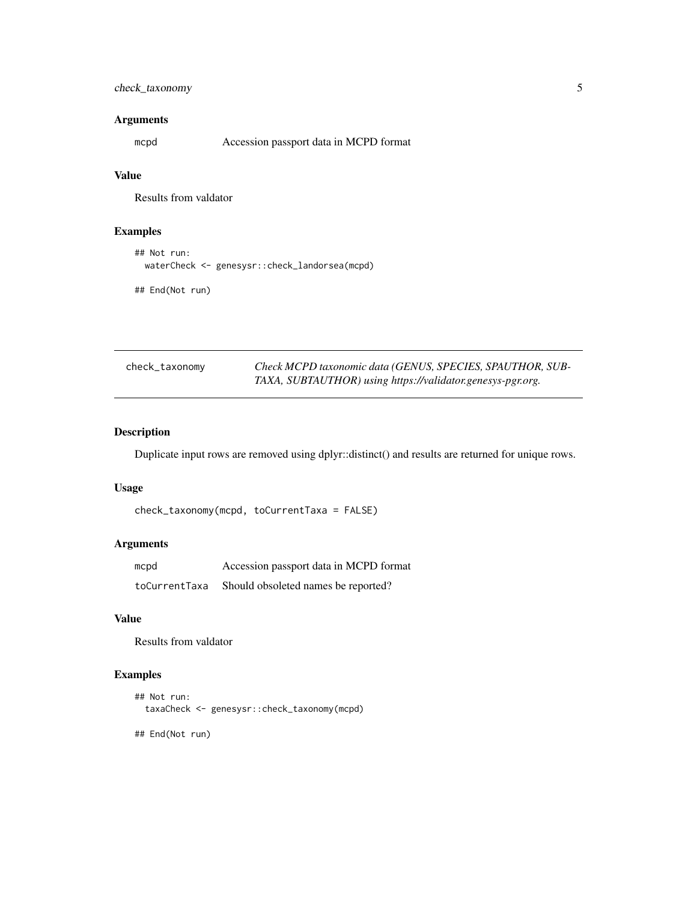#### <span id="page-4-0"></span>check\_taxonomy 5

#### Arguments

mcpd Accession passport data in MCPD format

#### Value

Results from valdator

#### Examples

```
## Not run:
 waterCheck <- genesysr::check_landorsea(mcpd)
```
## End(Not run)

| check_taxonomy | Check MCPD taxonomic data (GENUS, SPECIES, SPAUTHOR, SUB-  |
|----------------|------------------------------------------------------------|
|                | TAXA, SUBTAUTHOR) using https://validator.genesys-pgr.org. |

#### Description

Duplicate input rows are removed using dplyr::distinct() and results are returned for unique rows.

#### Usage

```
check_taxonomy(mcpd, toCurrentTaxa = FALSE)
```
#### Arguments

| mcpd          | Accession passport data in MCPD format |
|---------------|----------------------------------------|
| toCurrentTaxa | Should obsoleted names be reported?    |

#### Value

Results from valdator

#### Examples

```
## Not run:
 taxaCheck <- genesysr::check_taxonomy(mcpd)
```
## End(Not run)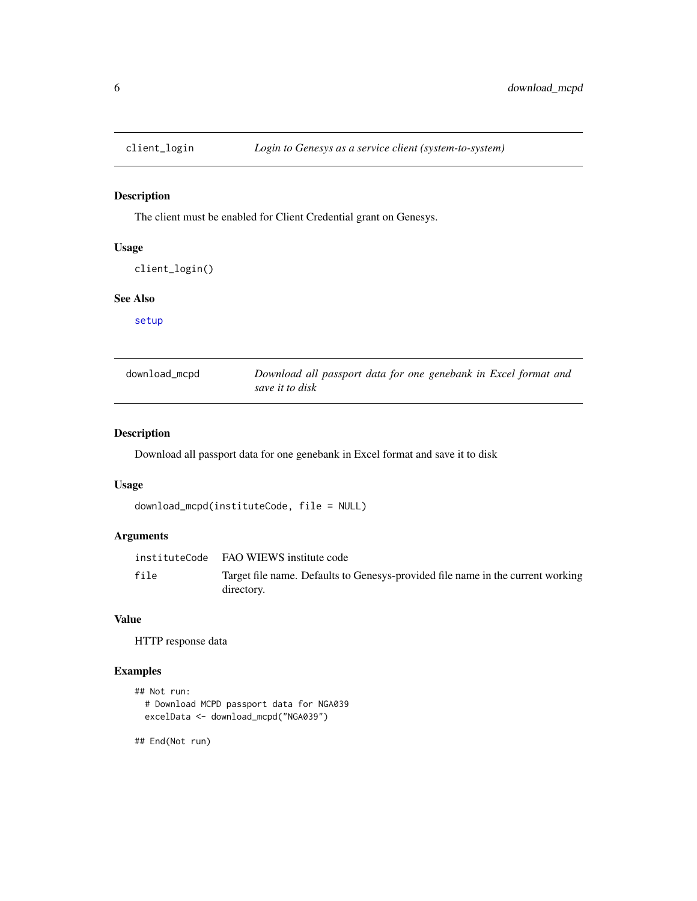<span id="page-5-1"></span><span id="page-5-0"></span>

The client must be enabled for Client Credential grant on Genesys.

#### Usage

```
client_login()
```
#### See Also

[setup](#page-11-1)

| download_mcpd | Download all passport data for one genebank in Excel format and |
|---------------|-----------------------------------------------------------------|
|               | save it to disk                                                 |

#### Description

Download all passport data for one genebank in Excel format and save it to disk

#### Usage

```
download_mcpd(instituteCode, file = NULL)
```
#### Arguments

|      | instituteCode FAO WIEWS institute code                                                        |
|------|-----------------------------------------------------------------------------------------------|
| file | Target file name. Defaults to Genesys-provided file name in the current working<br>directory. |

#### Value

HTTP response data

#### Examples

```
## Not run:
  # Download MCPD passport data for NGA039
  excelData <- download_mcpd("NGA039")
```
## End(Not run)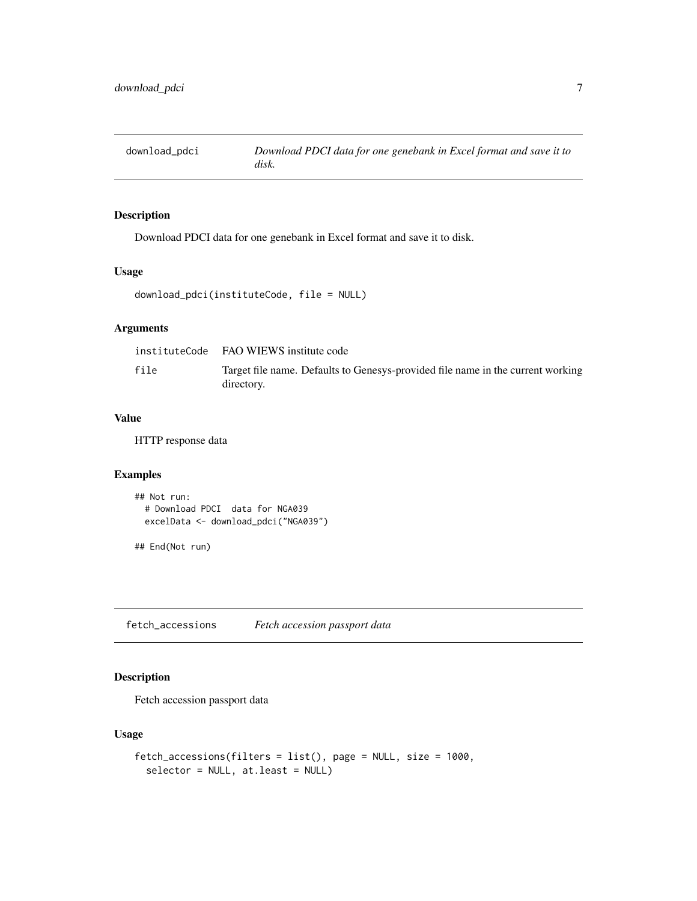<span id="page-6-0"></span>

Download PDCI data for one genebank in Excel format and save it to disk.

#### Usage

```
download_pdci(instituteCode, file = NULL)
```
#### Arguments

|      | instituteCode FAO WIEWS institute code                                                        |
|------|-----------------------------------------------------------------------------------------------|
| file | Target file name. Defaults to Genesys-provided file name in the current working<br>directory. |

#### Value

HTTP response data

#### Examples

```
## Not run:
 # Download PDCI data for NGA039
 excelData <- download_pdci("NGA039")
```
## End(Not run)

fetch\_accessions *Fetch accession passport data*

#### Description

Fetch accession passport data

#### Usage

```
fetch_accessions(filters = list(), page = NULL, size = 1000,
  selector = NULL, at.least = NULL)
```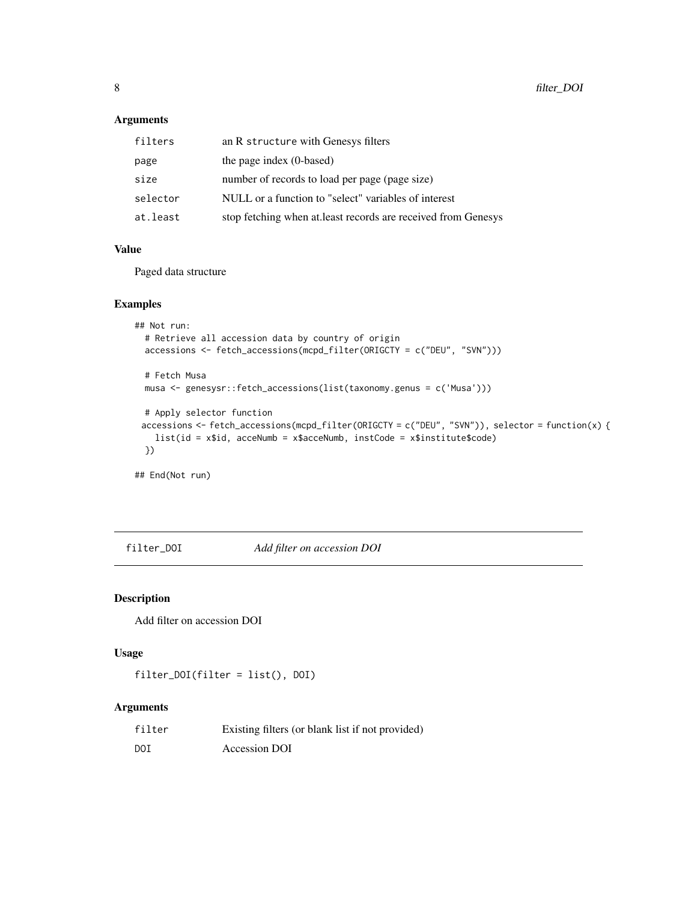#### <span id="page-7-0"></span>Arguments

| filters  | an R structure with Genesys filters                           |
|----------|---------------------------------------------------------------|
| page     | the page index (0-based)                                      |
| size     | number of records to load per page (page size)                |
| selector | NULL or a function to "select" variables of interest          |
| at.least | stop fetching when at least records are received from Genesys |

#### Value

Paged data structure

#### Examples

```
## Not run:
 # Retrieve all accession data by country of origin
 accessions <- fetch_accessions(mcpd_filter(ORIGCTY = c("DEU", "SVN")))
 # Fetch Musa
 musa <- genesysr::fetch_accessions(list(taxonomy.genus = c('Musa')))
 # Apply selector function
 accessions <- fetch_accessions(mcpd_filter(ORIGCTY = c("DEU", "SVN")), selector = function(x) {
   list(id = x$id, acceNumb = x$acceNumb, instCode = x$institute$code)
 })
## End(Not run)
```
filter\_DOI *Add filter on accession DOI*

#### Description

Add filter on accession DOI

#### Usage

filter\_DOI(filter = list(), DOI)

#### Arguments

| filter | Existing filters (or blank list if not provided) |
|--------|--------------------------------------------------|
| DOI    | Accession DOI                                    |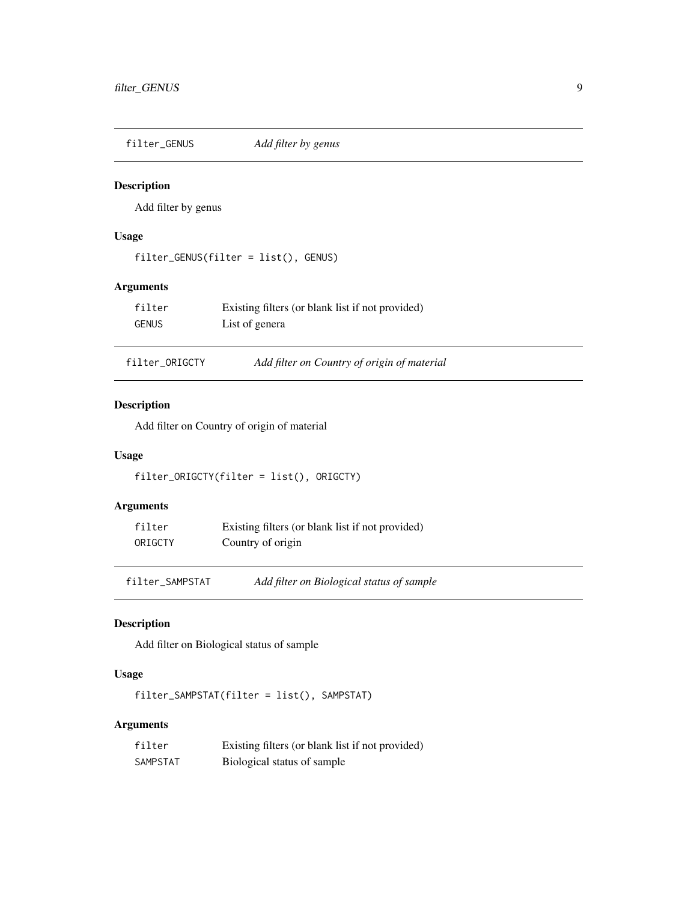<span id="page-8-0"></span>filter\_GENUS *Add filter by genus*

#### Description

Add filter by genus

#### Usage

filter\_GENUS(filter = list(), GENUS)

#### Arguments

| filter       | Existing filters (or blank list if not provided) |
|--------------|--------------------------------------------------|
| <b>GENUS</b> | List of genera                                   |

#### Description

Add filter on Country of origin of material

#### Usage

```
filter_ORIGCTY(filter = list(), ORIGCTY)
```
#### Arguments

| filter  | Existing filters (or blank list if not provided) |
|---------|--------------------------------------------------|
| ORIGCTY | Country of origin                                |

filter\_SAMPSTAT *Add filter on Biological status of sample*

#### Description

Add filter on Biological status of sample

#### Usage

filter\_SAMPSTAT(filter = list(), SAMPSTAT)

#### Arguments

| filter   | Existing filters (or blank list if not provided) |
|----------|--------------------------------------------------|
| SAMPSTAT | Biological status of sample                      |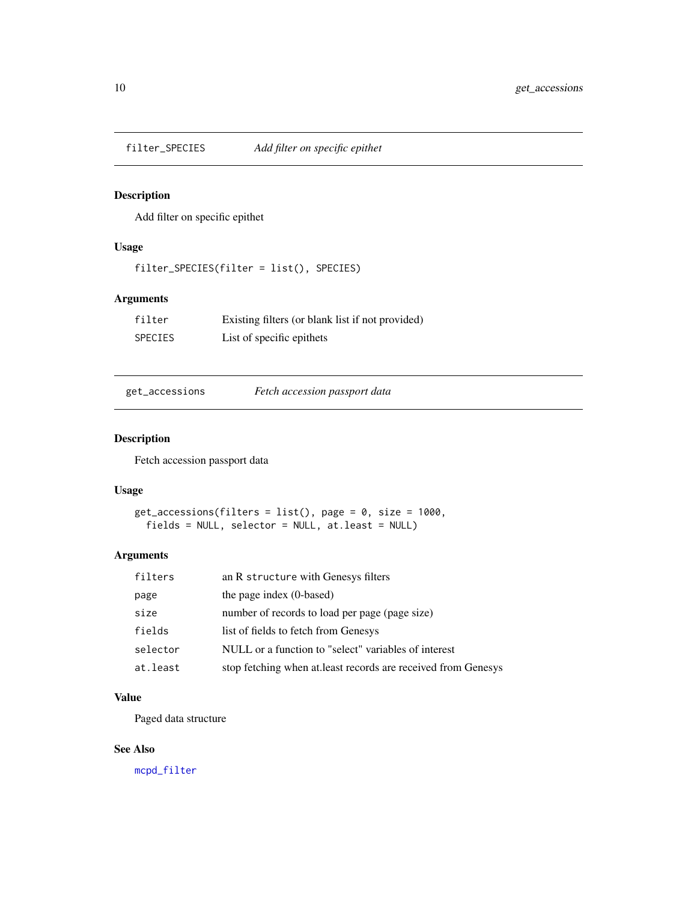<span id="page-9-0"></span>filter\_SPECIES *Add filter on specific epithet*

#### Description

Add filter on specific epithet

#### Usage

```
filter_SPECIES(filter = list(), SPECIES)
```
#### Arguments

| filter         | Existing filters (or blank list if not provided) |
|----------------|--------------------------------------------------|
| <b>SPECIES</b> | List of specific epithets                        |

get\_accessions *Fetch accession passport data*

#### Description

Fetch accession passport data

#### Usage

```
get\_accessions(filters = list(), page = 0, size = 1000,fields = NULL, selector = NULL, at.least = NULL)
```
#### Arguments

| filters  | an R structure with Genesys filters                           |
|----------|---------------------------------------------------------------|
| page     | the page index (0-based)                                      |
| size     | number of records to load per page (page size)                |
| fields   | list of fields to fetch from Genesys                          |
| selector | NULL or a function to "select" variables of interest          |
| at.least | stop fetching when at least records are received from Genesys |

#### Value

Paged data structure

#### See Also

[mcpd\\_filter](#page-10-1)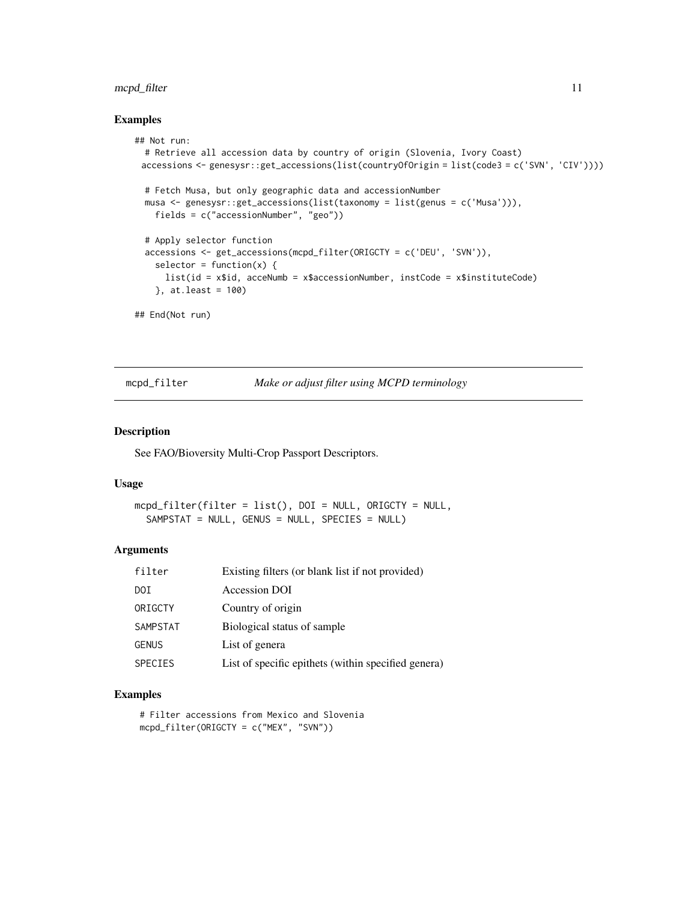#### <span id="page-10-0"></span>mcpd\_filter 11

#### Examples

```
## Not run:
 # Retrieve all accession data by country of origin (Slovenia, Ivory Coast)
 accessions <- genesysr::get_accessions(list(countryOfOrigin = list(code3 = c('SVN', 'CIV'))))
 # Fetch Musa, but only geographic data and accessionNumber
 musa <- genesysr::get_accessions(list(taxonomy = list(genus = c('Musa'))),
   fields = c("accessionNumber", "geo"))
 # Apply selector function
 accessions <- get_accessions(mcpd_filter(ORIGCTY = c('DEU', 'SVN')),
   selector = function(x) {
     list(id = x$id, acceNumb = x$accessionNumber, instCode = x$instituteCode)
   }, at.least = 100)
## End(Not run)
```
<span id="page-10-1"></span>mcpd\_filter *Make or adjust filter using MCPD terminology*

#### Description

See FAO/Bioversity Multi-Crop Passport Descriptors.

#### Usage

```
mcpd_filter(filter = list(), DOI = NULL, ORIGCTY = NULL,
  SAMPSTAT = NULL, GENUS = NULL, SPECIES = NULL)
```
#### Arguments

| filter         | Existing filters (or blank list if not provided)    |
|----------------|-----------------------------------------------------|
| DOI            | Accession DOI                                       |
| ORIGCTY        | Country of origin                                   |
| SAMPSTAT       | Biological status of sample                         |
| <b>GENUS</b>   | List of genera                                      |
| <b>SPECIES</b> | List of specific epithets (within specified genera) |

#### Examples

```
# Filter accessions from Mexico and Slovenia
mcpd_filter(ORIGCTY = c("MEX", "SVN"))
```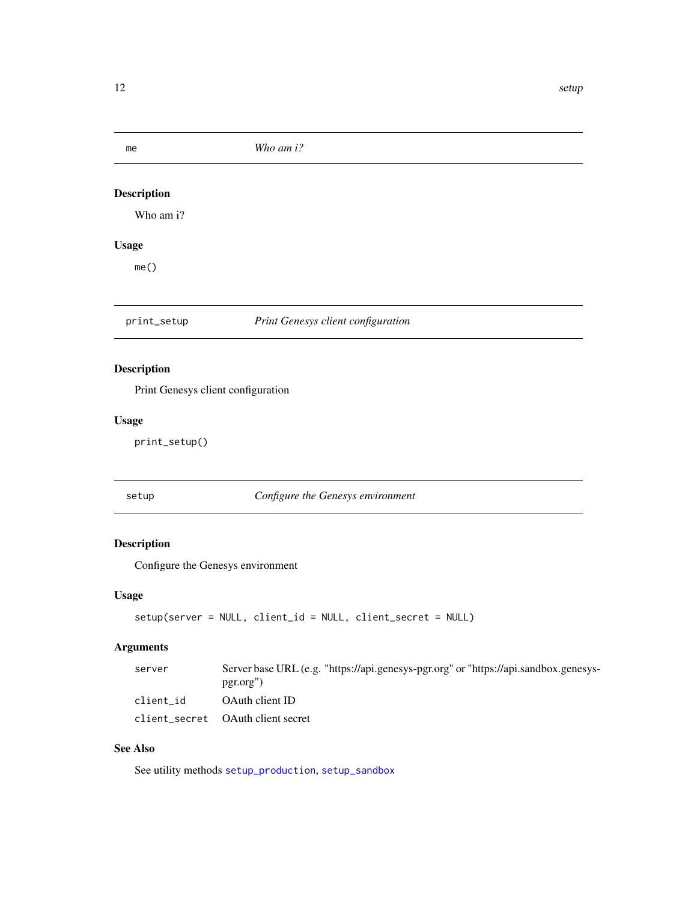<span id="page-11-0"></span>

| me                                 | Who am i?                          |  |
|------------------------------------|------------------------------------|--|
|                                    |                                    |  |
| <b>Description</b>                 |                                    |  |
| Who am i?                          |                                    |  |
| <b>Usage</b>                       |                                    |  |
| me()                               |                                    |  |
|                                    |                                    |  |
| print_setup                        | Print Genesys client configuration |  |
| <b>Description</b>                 |                                    |  |
| Print Genesys client configuration |                                    |  |

#### Usage

print\_setup()

#### <span id="page-11-1"></span>setup *Configure the Genesys environment*

#### Description

Configure the Genesys environment

#### Usage

```
setup(server = NULL, client_id = NULL, client_secret = NULL)
```
#### Arguments

| server    | Server base URL (e.g. "https://api.genesys-pgr.org" or "https://api.sandbox.genesys- |
|-----------|--------------------------------------------------------------------------------------|
|           | pgr.org")                                                                            |
| client id | OAuth client ID                                                                      |
|           | client secret OAuth client secret                                                    |

#### See Also

See utility methods [setup\\_production](#page-12-2), [setup\\_sandbox](#page-12-3)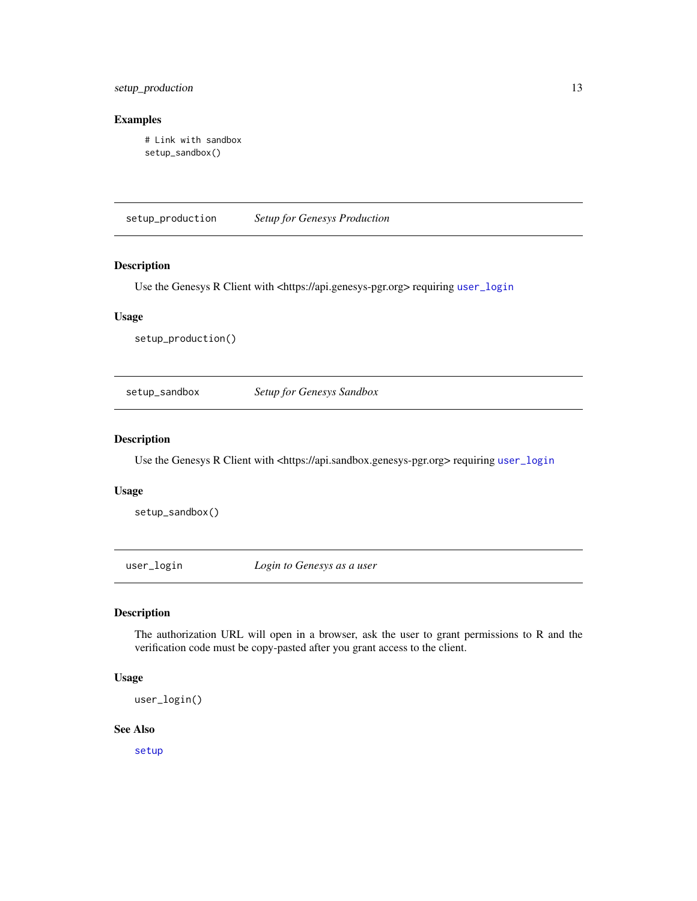#### <span id="page-12-0"></span>setup\_production 13

#### Examples

# Link with sandbox setup\_sandbox()

<span id="page-12-2"></span>setup\_production *Setup for Genesys Production*

#### Description

Use the Genesys R Client with <https://api.genesys-pgr.org> requiring [user\\_login](#page-12-1)

#### Usage

setup\_production()

<span id="page-12-3"></span>setup\_sandbox *Setup for Genesys Sandbox*

#### Description

Use the Genesys R Client with <https://api.sandbox.genesys-pgr.org>requiring [user\\_login](#page-12-1)

#### Usage

setup\_sandbox()

<span id="page-12-1"></span>user\_login *Login to Genesys as a user*

#### Description

The authorization URL will open in a browser, ask the user to grant permissions to R and the verification code must be copy-pasted after you grant access to the client.

#### Usage

```
user_login()
```
#### See Also

[setup](#page-11-1)